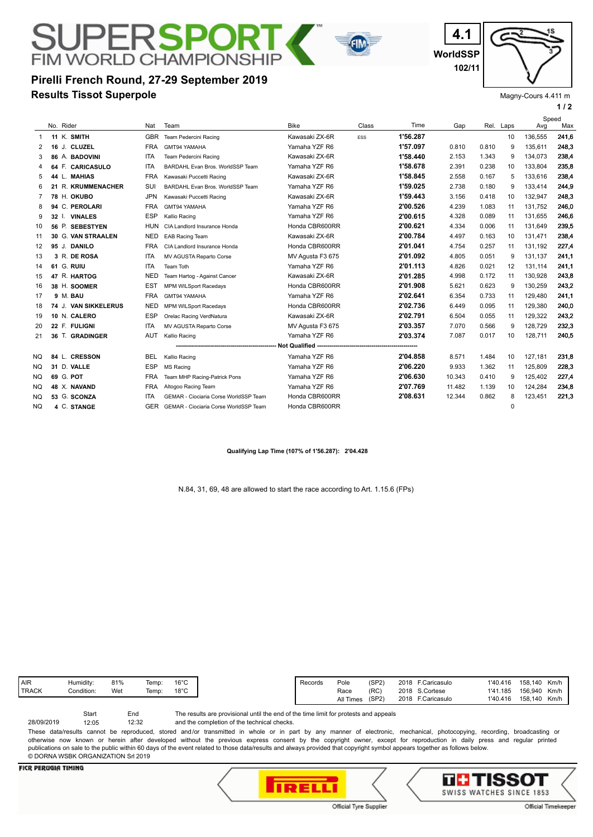## **Results Tissot Superpole Pirelli French Round, 27-29 September 2019**

**FIM WORLD CHAMPIONSHIP** 

**WorldSSP 4.1 102/11**



Magny-Cours 4.411 m

|     |                         |            |                                              |                  |            |          |        |       |             |         | 1/2   |  |
|-----|-------------------------|------------|----------------------------------------------|------------------|------------|----------|--------|-------|-------------|---------|-------|--|
|     |                         |            |                                              |                  |            |          |        |       |             | Speed   |       |  |
|     | No. Rider               | Nat        | Team                                         | <b>Bike</b>      | Class      | Time     | Gap    | Rel.  | Laps        | Avg     | Max   |  |
|     | 11 K. SMITH             | <b>GBR</b> | Team Pedercini Racing                        | Kawasaki ZX-6R   | <b>ESS</b> | 1'56.287 |        |       | 10          | 136.555 | 241,6 |  |
| 2   | 16 J. CLUZEL            | <b>FRA</b> | GMT94 YAMAHA                                 | Yamaha YZF R6    |            | 1'57.097 | 0.810  | 0.810 | 9           | 135,611 | 248,3 |  |
| 3   | 86 A. BADOVINI          | <b>ITA</b> | <b>Team Pedercini Racing</b>                 | Kawasaki ZX-6R   |            | 1'58.440 | 2.153  | 1.343 | 9           | 134,073 | 238,4 |  |
| 4   | 64 F. CARICASULO        | <b>ITA</b> | BARDAHL Evan Bros. WorldSSP Team             | Yamaha YZF R6    |            | 1'58.678 | 2.391  | 0.238 | 10          | 133,804 | 235,8 |  |
| 5   | 44 L. MAHIAS            | <b>FRA</b> | Kawasaki Puccetti Racing                     | Kawasaki ZX-6R   |            | 1'58.845 | 2.558  | 0.167 | 5           | 133,616 | 238,4 |  |
| 6   | 21 R. KRUMMENACHER      | SUI        | BARDAHL Evan Bros. WorldSSP Team             | Yamaha YZF R6    |            | 1'59.025 | 2.738  | 0.180 | 9           | 133.414 | 244,9 |  |
| 7   | 78 H. OKUBO             | <b>JPN</b> | Kawasaki Puccetti Racing                     | Kawasaki ZX-6R   |            | 1'59.443 | 3.156  | 0.418 | 10          | 132.947 | 248,3 |  |
| 8   | 94 C. PEROLARI          | <b>FRA</b> | GMT94 YAMAHA                                 | Yamaha YZF R6    |            | 2'00.526 | 4.239  | 1.083 | 11          | 131,752 | 246,0 |  |
| 9   | <b>VINALES</b><br>32 I. | <b>ESP</b> | Kallio Racing                                | Yamaha YZF R6    |            | 2'00.615 | 4.328  | 0.089 | 11          | 131.655 | 246,6 |  |
| 10  | 56 P. SEBESTYEN         | <b>HUN</b> | CIA Landlord Insurance Honda                 | Honda CBR600RR   |            | 2'00.621 | 4.334  | 0.006 | 11          | 131,649 | 239,5 |  |
| 11  | 30 G. VAN STRAALEN      | <b>NED</b> | <b>EAB Racing Team</b>                       | Kawasaki ZX-6R   |            | 2'00.784 | 4.497  | 0.163 | 10          | 131.471 | 238,4 |  |
| 12  | 95 J. DANILO            | <b>FRA</b> | CIA Landlord Insurance Honda                 | Honda CBR600RR   |            | 2'01.041 | 4.754  | 0.257 | 11          | 131.192 | 227,4 |  |
| 13  | 3 R. DE ROSA            | <b>ITA</b> | MV AGUSTA Reparto Corse                      | MV Agusta F3 675 |            | 2'01.092 | 4.805  | 0.051 | 9           | 131.137 | 241,1 |  |
| 14  | 61 G. RUIU              | <b>ITA</b> | Team Toth                                    | Yamaha YZF R6    |            | 2'01.113 | 4.826  | 0.021 | 12          | 131,114 | 241,1 |  |
| 15  | 47 R. HARTOG            | <b>NED</b> | Team Hartog - Against Cancer                 | Kawasaki ZX-6R   |            | 2'01.285 | 4.998  | 0.172 | 11          | 130,928 | 243,8 |  |
| 16  | 38 H. SOOMER            | <b>EST</b> | <b>MPM WILSport Racedays</b>                 | Honda CBR600RR   |            | 2'01.908 | 5.621  | 0.623 | 9           | 130,259 | 243,2 |  |
| 17  | 9 M. BAU                | <b>FRA</b> | GMT94 YAMAHA                                 | Yamaha YZF R6    |            | 2'02.641 | 6.354  | 0.733 | 11          | 129.480 | 241,1 |  |
| 18  | 74 J. VAN SIKKELERUS    | <b>NED</b> | <b>MPM WILSport Racedays</b>                 | Honda CBR600RR   |            | 2'02.736 | 6.449  | 0.095 | 11          | 129.380 | 240,0 |  |
| 19  | 10 N. CALERO            | <b>ESP</b> | Orelac Racing VerdNatura                     | Kawasaki ZX-6R   |            | 2'02.791 | 6.504  | 0.055 | 11          | 129.322 | 243,2 |  |
| 20  | 22 F. FULIGNI           | ITA        | MV AGUSTA Reparto Corse                      | MV Agusta F3 675 |            | 2'03.357 | 7.070  | 0.566 | 9           | 128,729 | 232,3 |  |
| 21  | 36 T. GRADINGER         | AUT        | Kallio Racing                                | Yamaha YZF R6    |            | 2'03.374 | 7.087  | 0.017 | 10          | 128,711 | 240,5 |  |
|     |                         |            |                                              |                  |            |          |        |       |             |         |       |  |
| NQ. | 84 L. CRESSON           | <b>BEL</b> | Kallio Racing                                | Yamaha YZF R6    |            | 2'04.858 | 8.571  | 1.484 | 10          | 127,181 | 231,8 |  |
| NQ  | 31 D. VALLE             | <b>ESP</b> | MS Racing                                    | Yamaha YZF R6    |            | 2'06.220 | 9.933  | 1.362 | 11          | 125,809 | 228,3 |  |
| NQ  | 69 G. POT               | <b>FRA</b> | Team MHP Racing-Patrick Pons                 | Yamaha YZF R6    |            | 2'06.630 | 10.343 | 0.410 | 9           | 125,402 | 227,4 |  |
| NQ  | 48 X. NAVAND            | <b>FRA</b> | Altogoo Racing Team                          | Yamaha YZF R6    |            | 2'07.769 | 11.482 | 1.139 | 10          | 124,284 | 234,8 |  |
| NQ  | 53 G. SCONZA            | ITA        | <b>GEMAR - Ciociaria Corse WorldSSP Team</b> | Honda CBR600RR   |            | 2'08.631 | 12.344 | 0.862 | 8           | 123,451 | 221,3 |  |
| NQ. | 4 C. STANGE             | GER        | GEMAR - Ciociaria Corse WorldSSP Team        | Honda CBR600RR   |            |          |        |       | $\mathbf 0$ |         |       |  |

FIN

#### **Qualifying Lap Time (107% of 1'56.287): 2'04.428**

N.84, 31, 69, 48 are allowed to start the race according to Art. 1.15.6 (FPs)

| <b>AIR</b>   | -lumidity: | 81% | Temp: | $16^{\circ}$ C |
|--------------|------------|-----|-------|----------------|
| <b>TRACK</b> | Condition: | Wet | Temp: | $18^{\circ}$ C |
|              |            |     |       |                |

The results are provisional until the end of the time limit for protests and appeals Start End 28/09/2019 12:05

and the completion of the technical checks. 12:32

These data/results cannot be reproduced, stored and/or transmitted in whole or in part by any manner of electronic, mechanical, photocopying, recording, broadcasting or otherwise now known or herein after developed without the previous express consent by the copyright owner, except for reproduction in daily press and regular printed publications on sale to the public within 60 days of the event related to those data/results and always provided that copyright symbol appears together as follows below. © DORNA WSBK ORGANIZATION Srl 2019

### **FICR PERUGIA TIMING**